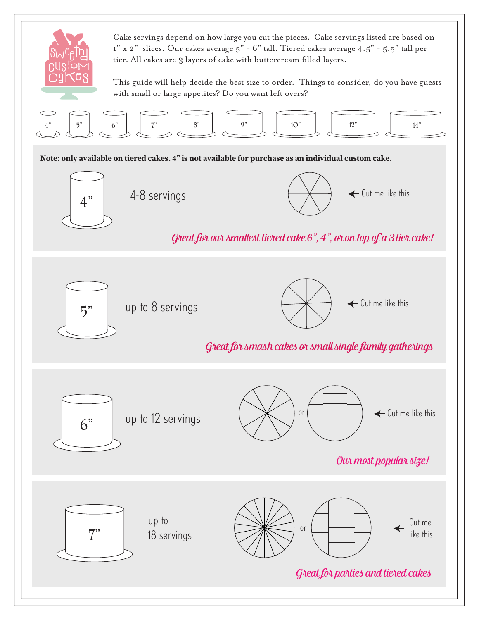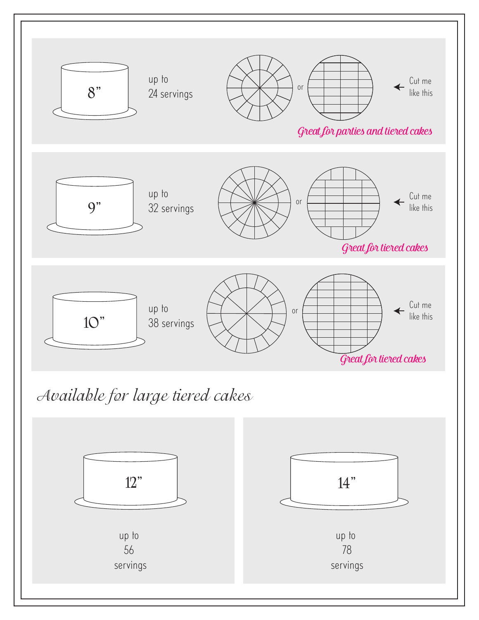



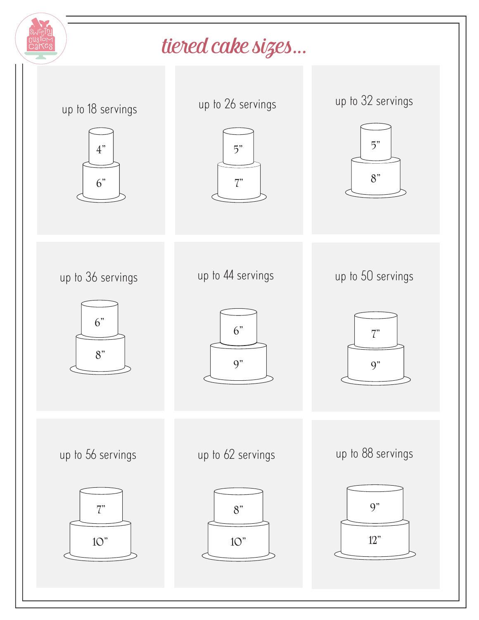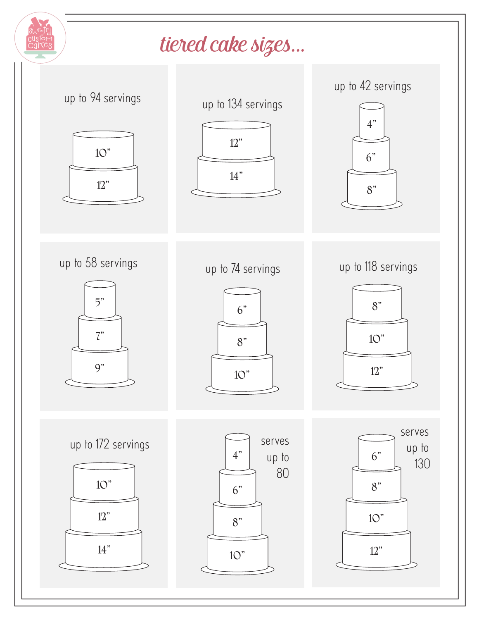